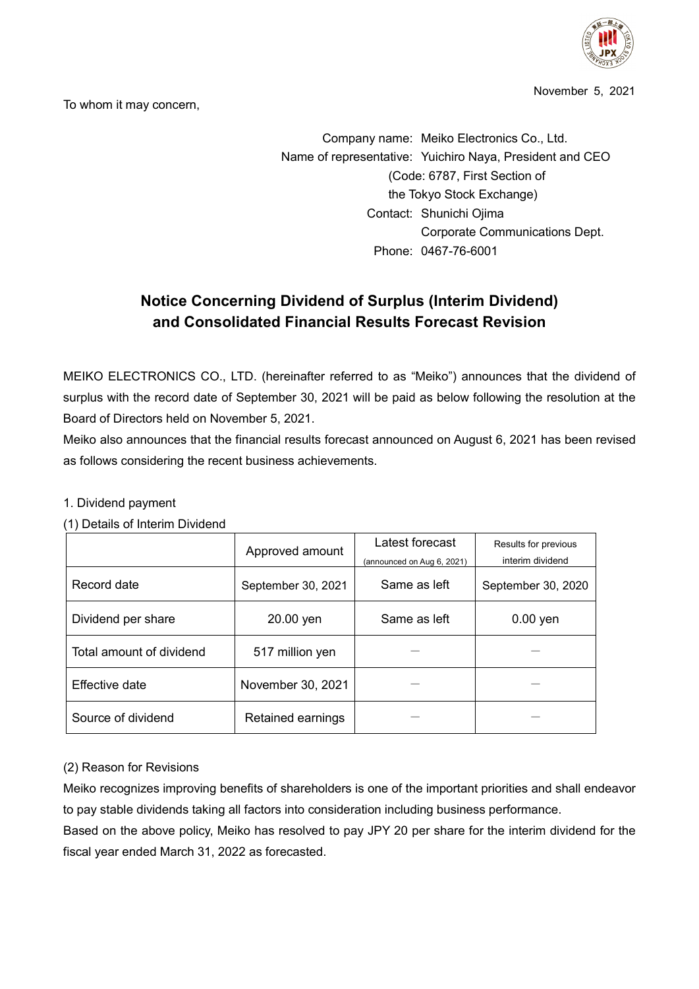

November 5, 2021

To whom it may concern,

Company name: Meiko Electronics Co., Ltd. Name of representative: Yuichiro Naya, President and CEO (Code: 6787, First Section of the Tokyo Stock Exchange) Contact: Shunichi Ojima Corporate Communications Dept. Phone: 0467-76-6001

# **Notice Concerning Dividend of Surplus (Interim Dividend) and Consolidated Financial Results Forecast Revision**

MEIKO ELECTRONICS CO., LTD. (hereinafter referred to as "Meiko") announces that the dividend of surplus with the record date of September 30, 2021 will be paid as below following the resolution at the Board of Directors held on November 5, 2021.

Meiko also announces that the financial results forecast announced on August 6, 2021 has been revised as follows considering the recent business achievements.

#### 1. Dividend payment

(1) Details of Interim Dividend

|                          | Approved amount           | Latest forecast<br>(announced on Aug 6, 2021) | Results for previous<br>interim dividend |  |
|--------------------------|---------------------------|-----------------------------------------------|------------------------------------------|--|
| Record date              | September 30, 2021        | Same as left                                  | September 30, 2020                       |  |
| Dividend per share       | Same as left<br>20.00 yen |                                               | $0.00$ yen                               |  |
| Total amount of dividend | 517 million yen           |                                               |                                          |  |
| Effective date           | November 30, 2021         |                                               |                                          |  |
| Source of dividend       | Retained earnings         |                                               |                                          |  |

## (2) Reason for Revisions

Meiko recognizes improving benefits of shareholders is one of the important priorities and shall endeavor to pay stable dividends taking all factors into consideration including business performance.

Based on the above policy, Meiko has resolved to pay JPY 20 per share for the interim dividend for the fiscal year ended March 31, 2022 as forecasted.